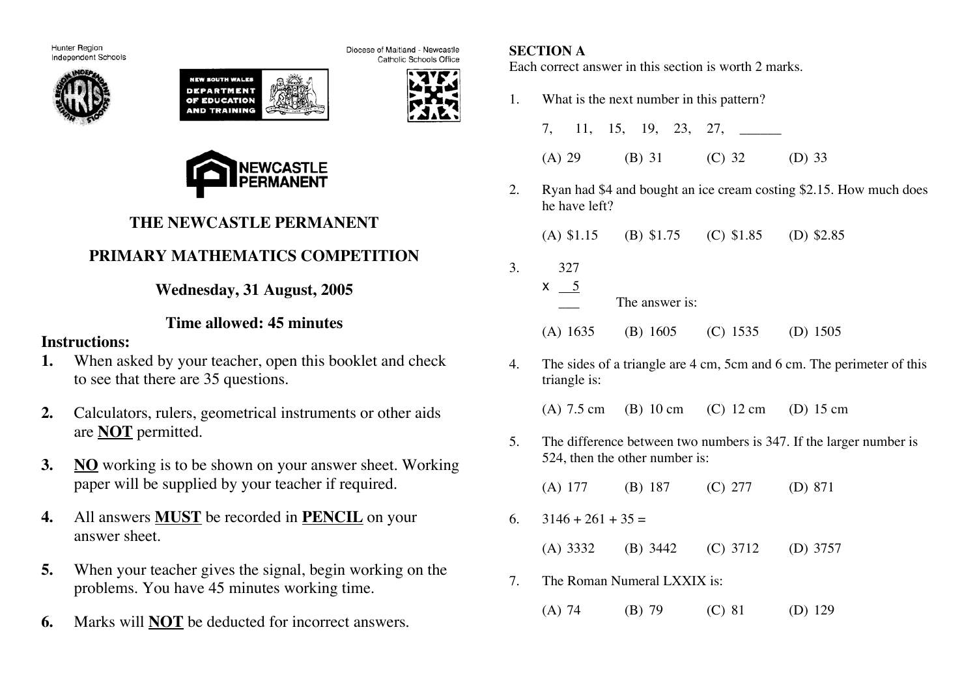Hunter Region Independent Schools







Catholic Schools Office

Diocese of Maitland - Newcastle



# **THE NEWCASTLE PERMANENT**

# **PRIMARY MATHEMATICS COMPETITION**

**Wednesday, 31 August, 2005**

## **Time allowed: 45 minutes**

### **Instructions:**

- **1.** When asked by your teacher, open this booklet and check to see that there are 35 questions.
- **2.** Calculators, rulers, geometrical instruments or other aids are **NOT** permitted.
- **3. NO** working is to be shown on your answer sheet. Working paper will be supplied by your teacher if required.
- **4.** All answers **MUST** be recorded in **PENCIL** on your answer sheet.
- **5.** When your teacher gives the signal, begin working on the problems. You have 45 minutes working time.
- **6.** Marks will **NOT** be deducted for incorrect answers.

### **SECTION A**

Each correct answer in this section is worth 2 marks.

1. What is the next number in this pattern?

|  |  |  | 7, 11, 15, 19, 23, 27, ______ |
|--|--|--|-------------------------------|
|  |  |  |                               |

- (A) 29 (B) 31 (C) 32 (D) 33
- 2. Ryan had \$4 and bought an ice cream costing \$2.15. How much does he have left?

(A) \$1.15 (B) \$1.75 (C) \$1.85 (D) \$2.85

- 3. 327  $x \underline{\hspace{1cm}} 5$ 
	- The answer is: (A) 1635 (B) 1605 (C) 1535 (D) 1505
- 4. The sides of a triangle are 4 cm, 5cm and 6 cm. The perimeter of this triangle is:

(A) 7.5 cm (B) 10 cm (C) 12 cm (D) 15 cm

5. The difference between two numbers is 347. If the larger number is 524, then the other number is:

(A) 177 (B) 187 (C) 277 (D) 871

6.  $3146 + 261 + 35 =$ 

(A) 3332 (B) 3442 (C) 3712 (D) 3757

- 7. The Roman Numeral LXXIX is:
	- (A) 74 (B) 79 (C) 81 (D) 129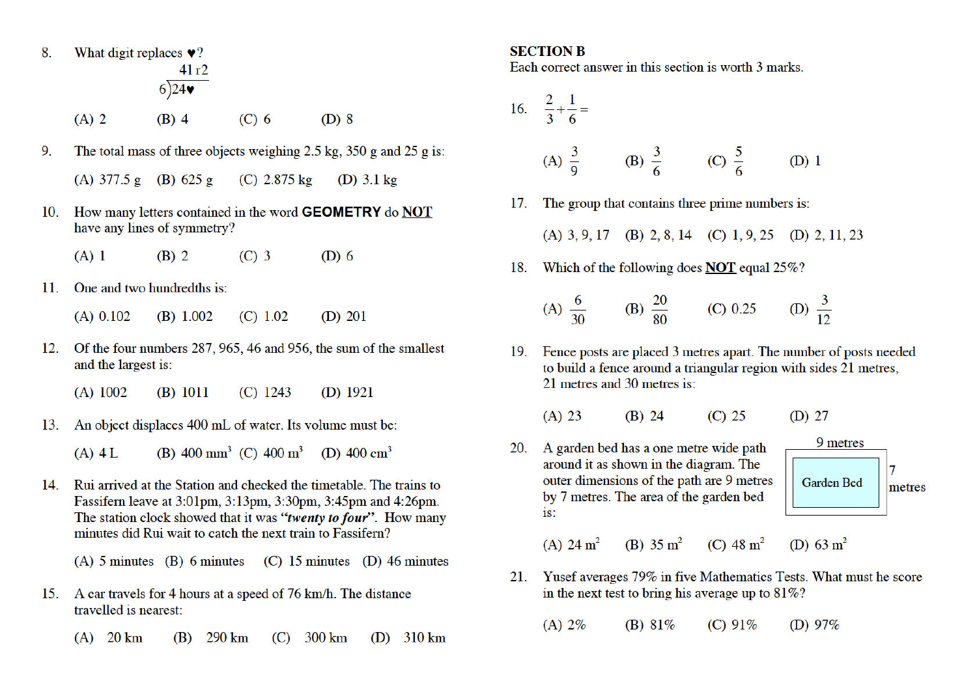- 8. What digit replaces  $\bullet$ ?  $41r2$  $6)24$ 
	- $(A)$  2  $(B)$  4  $(C)$  6  $(D)$  8
- The total mass of three objects weighing  $2.5 \text{ kg}$ ,  $350 \text{ g}$  and  $25 \text{ g}$  is: 9 (A)  $377.5 g$  (B)  $625 g$ (C)  $2.875 \text{ kg}$ (D)  $3.1 \text{ kg}$
- How many letters contained in the word **GEOMETRY** do **NOT** 10. have any lines of symmetry?
	- $(A)$  1  $(B)$  2  $(C)$  3  $(D)$  6
- $11.$ One and two hundredths is:

 $(B) 1.002$  $(C) 1.02$  $(D)$  201  $(A)$  0.102

- Of the four numbers 287, 965, 46 and 956, the sum of the smallest 12. and the largest is:
	- $(A)$  1002  $(B) 1011$  $(C)$  1243  $(D)$  1921
- An object displaces 400 mL of water. Its volume must be: 13.
	- (B) 400 mm<sup>3</sup> (C) 400 m<sup>3</sup> (D) 400 cm<sup>3</sup>  $(A)$  4 L
- Rui arrived at the Station and checked the timetable. The trains to 14. Fassifern leave at 3:01pm, 3:13pm, 3:30pm, 3:45pm and 4:26pm. The station clock showed that it was "twenty to four". How many minutes did Rui wait to catch the next train to Fassifern?

(A)  $5 \text{ minutes}$  (B)  $6 \text{ minutes}$  (C)  $15 \text{ minutes}$  (D)  $46 \text{ minutes}$ 

- A car travels for 4 hours at a speed of 76 km/h. The distance 15. travelled is nearest:
	- $(A)$  20 km 290 km  $(C)$  300 km (D)  $310 \text{ km}$ (B)

#### **SECTION B**

Each correct answer in this section is worth 3 marks.

16. 
$$
\frac{2}{3} + \frac{1}{6} =
$$

(A) 
$$
\frac{3}{9}
$$
 (B)  $\frac{3}{6}$  (C)  $\frac{5}{6}$  (D) 1

The group that contains three prime numbers is:  $17<sub>1</sub>$ 

(A) 3, 9, 17 (B) 2, 8, 14 (C) 1, 9, 25 (D) 2, 11, 23

18. Which of the following does **NOT** equal 25%?

(A) 
$$
\frac{6}{30}
$$
 (B)  $\frac{20}{80}$  (C) 0.25 (D)  $\frac{3}{12}$ 

19. Fence posts are placed 3 metres apart. The number of posts needed to build a fence around a triangular region with sides 21 metres, 21 metres and 30 metres is:

20. A garden bed has a one metre wide path around it as shown in the diagram. The outer dimensions of the path are 9 metres **Garden Bed** by 7 metres. The area of the garden bed  $iS$ :



(D)  $63 \text{ m}^2$ (A)  $24 \text{ m}^2$ (B)  $35 \text{ m}^2$ (C)  $48 \text{ m}^2$ 

Yusef averages 79% in five Mathematics Tests. What must he score 21. in the next test to bring his average up to  $81\%$ ?

 $(A) 2%$ (B)  $81\%$  $(C) 91%$ (D)  $97\%$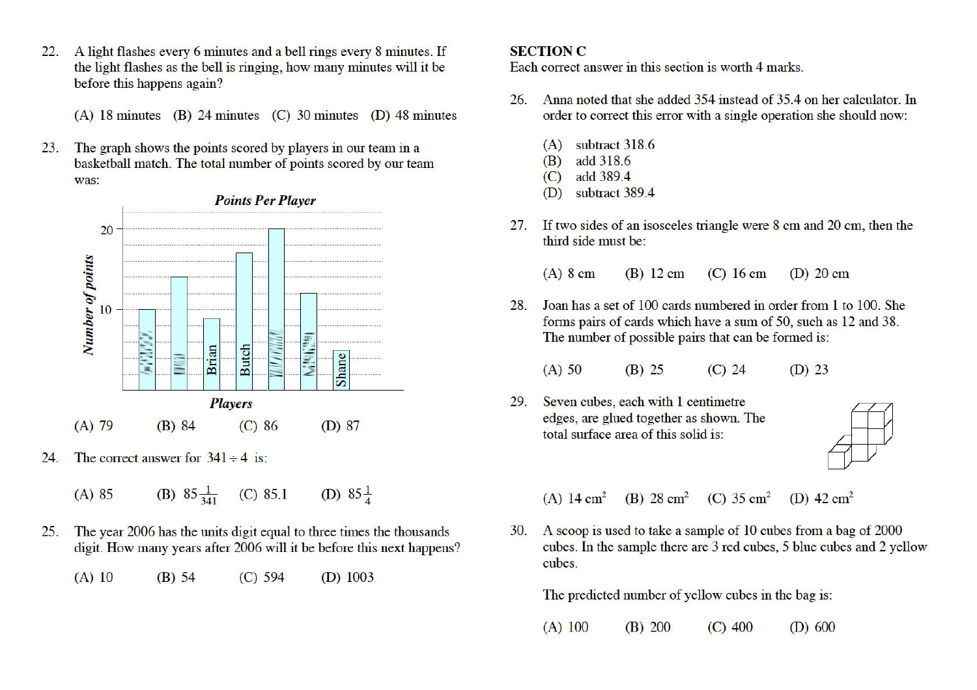A light flashes every 6 minutes and a bell rings every 8 minutes. If 22. the light flashes as the bell is ringing, how many minutes will it be before this happens again?

(A) 18 minutes (B) 24 minutes (C) 30 minutes (D) 48 minutes

The graph shows the points scored by players in our team in a 23. basketball match. The total number of points scored by our team was:



- The correct answer for  $341 \div 4$  is: 24.
	- (B)  $85\frac{1}{341}$  (C) 85.1 (D)  $85\frac{1}{4}$  $(A) 85$
- The year 2006 has the units digit equal to three times the thousands 25. digit. How many years after 2006 will it be before this next happens?
	- $(A)$  10  $(B)$  54  $(C)$  594 (D)  $1003$

#### **SECTION C**

Each correct answer in this section is worth 4 marks.

- Anna noted that she added 354 instead of 35.4 on her calculator. In 26. order to correct this error with a single operation she should now:
	- subtract 318.6  $(A)$
	- add 318.6 (B)
	- add 389.4  $(C)$
	- (D) subtract 389.4
- If two sides of an isosceles triangle were 8 cm and 20 cm, then the 27. third side must be:

 $(A)$  8 cm  $(B)$  12 cm  $(C)$  16 cm  $(D)$  20 cm

- Joan has a set of 100 cards numbered in order from 1 to 100. She 28 forms pairs of cards which have a sum of 50, such as 12 and 38. The number of possible pairs that can be formed is:
	- $(B)$  25  $(A)$  50  $(C)$  24  $(D)$  23
- Seven cubes, each with 1 centimetre 29 edges, are glued together as shown. The total surface area of this solid is:



(A)  $14 \text{ cm}^2$ (B)  $28 \text{ cm}^2$  (C)  $35 \text{ cm}^2$ (D)  $42 \text{ cm}^2$ 

30. A scoop is used to take a sample of 10 cubes from a bag of 2000 cubes. In the sample there are 3 red cubes, 5 blue cubes and 2 yellow cubes.

The predicted number of yellow cubes in the bag is:

 $(A)$  100  $(B) 200$  $(C)$  400  $(D)$  600